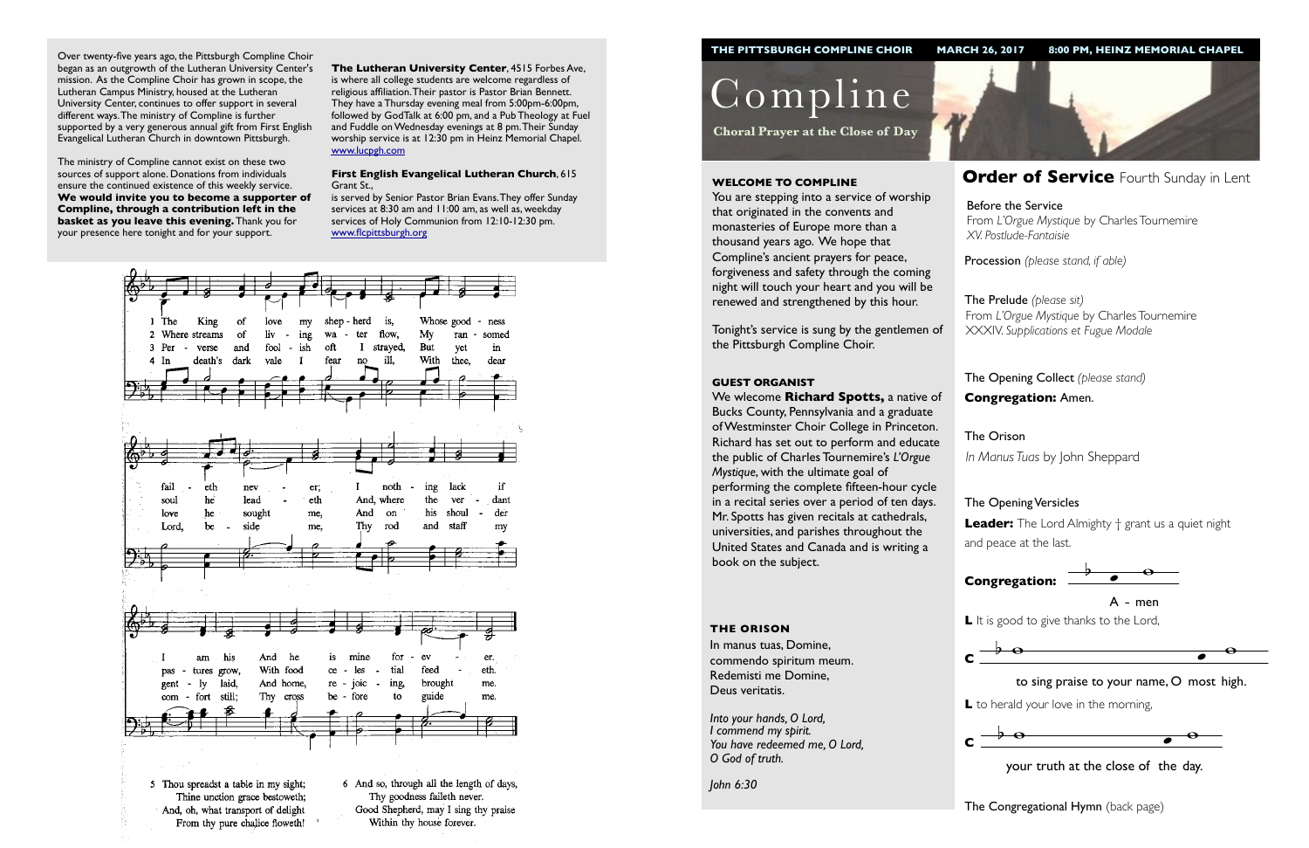Procession *(please stand, if able)*

The Opening Collect *(please stand)* **Congregation:** Amen.



 $\lambda$ A - men

L It is good to give thanks to the Lord,

### The Opening Versicles

**L** to herald your love in the morning,  $\overline{\phantom{a}}$ 

**Leader:** The Lord Almighty † grant us a quiet night and peace at the last.

Compline

**Choral Prayer at the Close of Day**

## **WELCOME TO COMPLINE Order of Service** Fourth Sunday in Lent

You are stepping into a service of worship that originated in the convents and monasteries of Europe more than a thousand years ago. We hope that Compline's ancient prayers for peace, forgiveness and safety through the coming night will touch your heart and you will be renewed and strengthened by this hour.

The Prelude *(please sit)* From *L'Orgue Mystique* by Charles Tournemire XXXIV. *Supplications et Fugue Modale*

Tonight's service is sung by the gentlemen of the Pittsburgh Compline Choir.

> The Orison *In Manus Tuas* by John Sheppard

#### **GUEST ORGANIST**

We wlecome **Richard Spotts,** a native of Bucks County, Pennsylvania and a graduate of Westminster Choir College in Princeton. Richard has set out to perform and educate the public of Charles Tournemire's *L'Orgue Mystique*, with the ultimate goal of performing the complete fifteen-hour cycle in a recital series over a period of ten days. Mr. Spotts has given recitals at cathedrals, universities, and parishes throughout the United States and Canada and is writing a book on the subject.





 $\frac{1}{2}$  your truth at the close of the day.

**The Congregational Hymn** (back page)

#### **THE ORISON**



to sing praise to your name,  $O$  most high.

In manus tuas, Domine, commendo spiritum meum. Redemisti me Domine, Deus veritatis.

*Into your hands, O Lord, I commend my spirit. You have redeemed me, O Lord, O God of truth.*

*John 6:30*

Over twenty-five years ago, the Pittsburgh Compline Choir began as an outgrowth of the Lutheran University Center's mission. As the Compline Choir has grown in scope, the Lutheran Campus Ministry, housed at the Lutheran University Center, continues to offer support in several different ways. The ministry of Compline is further supported by a very generous annual gift from First English Evangelical Lutheran Church in downtown Pittsburgh.

The ministry of Compline cannot exist on these two sources of support alone. Donations from individuals ensure the continued existence of this weekly service. **We would invite you to become a supporter of Compline, through a contribution left in the basket as you leave this evening.** Thank you for your presence here tonight and for your support.

**The Lutheran University Center**, 4515 Forbes Ave, is where all college students are welcome regardless of religious affiliation. Their pastor is Pastor Brian Bennett. They have a Thursday evening meal from 5:00pm-6:00pm, followed by GodTalk at 6:00 pm, and a Pub Theology at Fuel and Fuddle on Wednesday evenings at 8 pm. Their Sunday worship service is at 12:30 pm in Heinz Memorial Chapel. [www.lucpgh.com](http://www.lucpgh.com)

#### **First English Evangelical Lutheran Church**, 615 Grant St.,

is served by Senior Pastor Brian Evans. They offer Sunday services at 8:30 am and 11:00 am, as well as, weekday services of Holy Communion from 12:10-12:30 pm. [www.flcpittsburgh.org](http://www.flcpittsburgh.org)



Before the Service From *L'Orgue Mystique* by Charles Tournemire *XV. Postlude-Fantaisie*